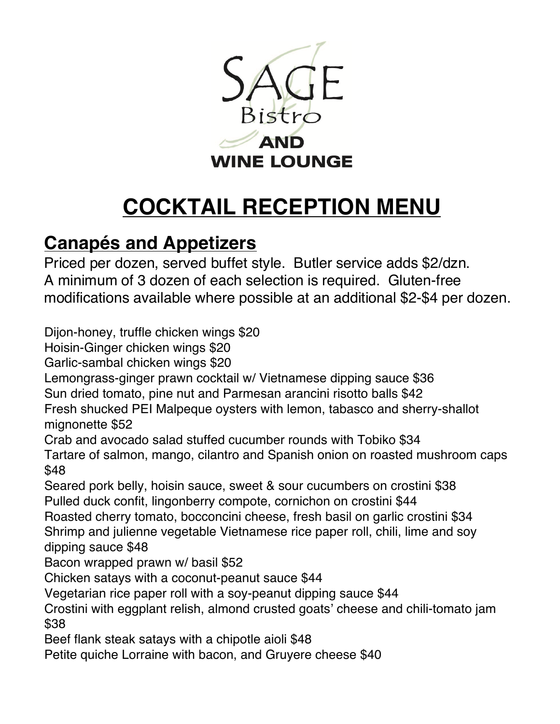

## **COCKTAIL RECEPTION MENU**

## **Canapés and Appetizers**

Priced per dozen, served buffet style. Butler service adds \$2/dzn. A minimum of 3 dozen of each selection is required. Gluten-free modifications available where possible at an additional \$2-\$4 per dozen.

Dijon-honey, truffle chicken wings \$20

Hoisin-Ginger chicken wings \$20

Garlic-sambal chicken wings \$20

Lemongrass-ginger prawn cocktail w/ Vietnamese dipping sauce \$36

Sun dried tomato, pine nut and Parmesan arancini risotto balls \$42

Fresh shucked PEI Malpeque oysters with lemon, tabasco and sherry-shallot mignonette \$52

Crab and avocado salad stuffed cucumber rounds with Tobiko \$34

Tartare of salmon, mango, cilantro and Spanish onion on roasted mushroom caps \$48

Seared pork belly, hoisin sauce, sweet & sour cucumbers on crostini \$38 Pulled duck confit, lingonberry compote, cornichon on crostini \$44

Roasted cherry tomato, bocconcini cheese, fresh basil on garlic crostini \$34 Shrimp and julienne vegetable Vietnamese rice paper roll, chili, lime and soy dipping sauce \$48

Bacon wrapped prawn w/ basil \$52

Chicken satays with a coconut-peanut sauce \$44

Vegetarian rice paper roll with a soy-peanut dipping sauce \$44

Crostini with eggplant relish, almond crusted goats' cheese and chili-tomato jam \$38

Beef flank steak satays with a chipotle aioli \$48

Petite quiche Lorraine with bacon, and Gruyere cheese \$40